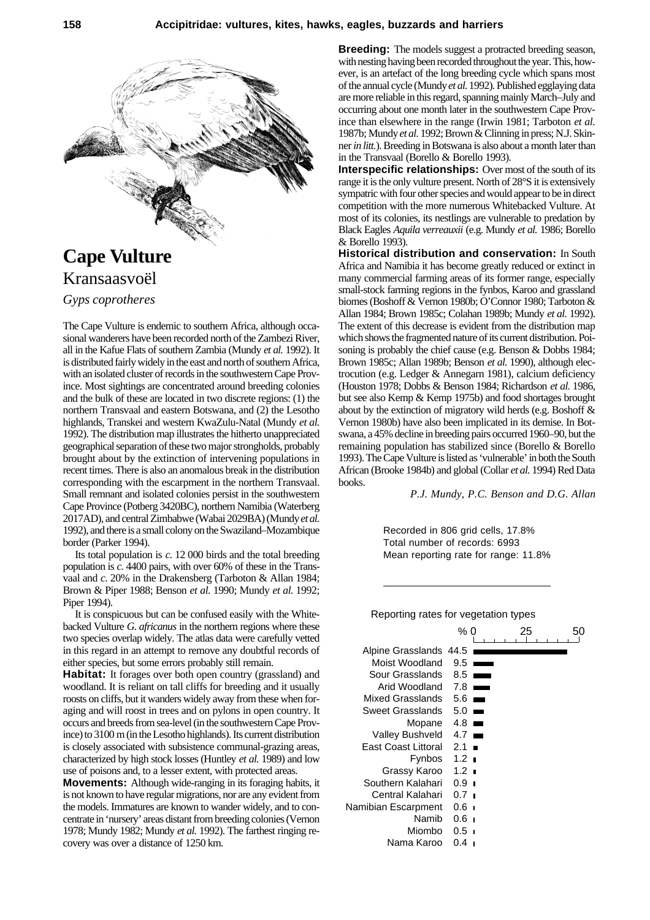

## **Cape Vulture** Kransaasvoël

*Gyps coprotheres*

The Cape Vulture is endemic to southern Africa, although occasional wanderers have been recorded north of the Zambezi River, all in the Kafue Flats of southern Zambia (Mundy *et al.* 1992). It is distributed fairly widely in the east and north of southern Africa, with an isolated cluster of records in the southwestern Cape Province. Most sightings are concentrated around breeding colonies and the bulk of these are located in two discrete regions: (1) the northern Transvaal and eastern Botswana, and (2) the Lesotho highlands, Transkei and western KwaZulu-Natal (Mundy *et al.* 1992). The distribution map illustrates the hitherto unappreciated geographical separation of these two major strongholds, probably brought about by the extinction of intervening populations in recent times. There is also an anomalous break in the distribution corresponding with the escarpment in the northern Transvaal. Small remnant and isolated colonies persist in the southwestern Cape Province (Potberg 3420BC), northern Namibia (Waterberg 2017AD), and central Zimbabwe (Wabai 2029BA) (Mundy *et al.* 1992), and there is a small colony on the Swaziland–Mozambique border (Parker 1994).

Its total population is *c.* 12 000 birds and the total breeding population is *c.* 4400 pairs, with over 60% of these in the Transvaal and *c.* 20% in the Drakensberg (Tarboton & Allan 1984; Brown & Piper 1988; Benson *et al.* 1990; Mundy *et al.* 1992; Piper 1994).

It is conspicuous but can be confused easily with the Whitebacked Vulture *G. africanus* in the northern regions where these two species overlap widely. The atlas data were carefully vetted in this regard in an attempt to remove any doubtful records of either species, but some errors probably still remain.

**Habitat:** It forages over both open country (grassland) and woodland. It is reliant on tall cliffs for breeding and it usually roosts on cliffs, but it wanders widely away from these when foraging and will roost in trees and on pylons in open country. It occurs and breeds from sea-level (in the southwestern Cape Province) to 3100 m (in the Lesotho highlands). Its current distribution is closely associated with subsistence communal-grazing areas, characterized by high stock losses (Huntley *et al.* 1989) and low use of poisons and, to a lesser extent, with protected areas.

**Movements:** Although wide-ranging in its foraging habits, it is not known to have regular migrations, nor are any evident from the models. Immatures are known to wander widely, and to concentrate in 'nursery' areas distant from breeding colonies (Vernon 1978; Mundy 1982; Mundy *et al.* 1992). The farthest ringing recovery was over a distance of 1250 km.

**Breeding:** The models suggest a protracted breeding season, with nesting having been recorded throughout the year. This, however, is an artefact of the long breeding cycle which spans most of the annual cycle (Mundy *et al.* 1992). Published egglaying data are more reliable in this regard, spanning mainly March–July and occurring about one month later in the southwestern Cape Province than elsewhere in the range (Irwin 1981; Tarboton *et al.* 1987b; Mundy *et al.* 1992; Brown & Clinning in press; N.J. Skinner *in litt.*). Breeding in Botswana is also about a month later than in the Transvaal (Borello & Borello 1993).

**Interspecific relationships:** Over most of the south of its range it is the only vulture present. North of 28°S it is extensively sympatric with four other species and would appear to be in direct competition with the more numerous Whitebacked Vulture. At most of its colonies, its nestlings are vulnerable to predation by Black Eagles *Aquila verreauxii* (e.g. Mundy *et al.* 1986; Borello & Borello 1993).

**Historical distribution and conservation:** In South Africa and Namibia it has become greatly reduced or extinct in many commercial farming areas of its former range, especially small-stock farming regions in the fynbos, Karoo and grassland biomes (Boshoff & Vernon 1980b; O'Connor 1980; Tarboton & Allan 1984; Brown 1985c; Colahan 1989b; Mundy *et al.* 1992). The extent of this decrease is evident from the distribution map which shows the fragmented nature of its current distribution. Poisoning is probably the chief cause (e.g. Benson & Dobbs 1984; Brown 1985c; Allan 1989b; Benson *et al.* 1990), although electrocution (e.g. Ledger & Annegarn 1981), calcium deficiency (Houston 1978; Dobbs & Benson 1984; Richardson *et al.* 1986, but see also Kemp & Kemp 1975b) and food shortages brought about by the extinction of migratory wild herds (e.g. Boshoff & Vernon 1980b) have also been implicated in its demise. In Botswana, a 45% decline in breeding pairs occurred 1960–90, but the remaining population has stabilized since (Borello & Borello 1993). The Cape Vulture is listed as 'vulnerable' in both the South African (Brooke 1984b) and global (Collar *et al.* 1994) Red Data books.

*P.J. Mundy, P.C. Benson and D.G. Allan*

Recorded in 806 grid cells, 17.8% Total number of records: 6993 Mean reporting rate for range: 11.8%

0 25 50 Reporting rates for vegetation types  $O<sub>n</sub>$ Alpine Grasslands 44.5 Moist Woodland 9.5 Sour Grasslands 8.5 Arid Woodland 7.8 Mixed Grasslands 5.6 Sweet Grasslands 5.0 Mopane 4.8 Valley Bushveld 4.7 East Coast Littoral 2.1 Fynbos 1.2 Grassy Karoo 1.2 Southern Kalahari 0.9 Central Kalahari 0.7 Namibian Escarpment 0.6 Namib 0.6 Miombo 0.5 Nama Karoo 0.4